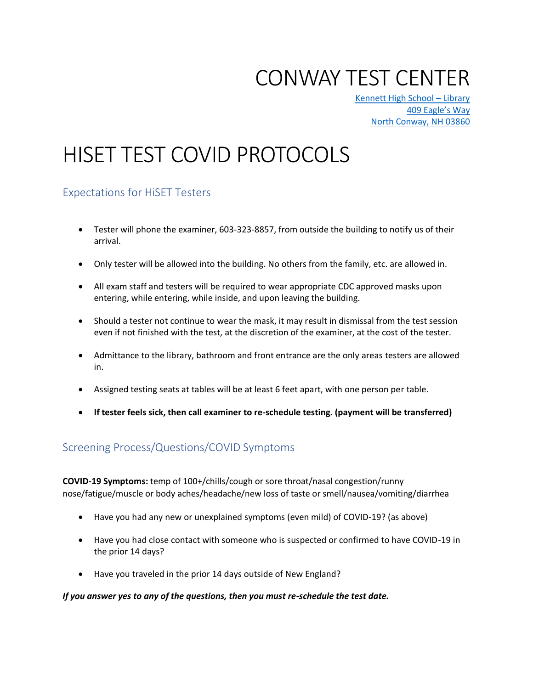## CONWAY TEST CENTER

[Kennett High School](https://www.google.com/maps/place/Kennett+High+School/@44.0052698,-71.0980933,14.89z/data=!4m5!3m4!1s0x0:0xb1d20eaab3b6c633!8m2!3d44.0050967!4d-71.0981033) – Library [409 Eagle](https://www.google.com/maps/place/Kennett+High+School/@44.0052698,-71.0980933,14.89z/data=!4m5!3m4!1s0x0:0xb1d20eaab3b6c633!8m2!3d44.0050967!4d-71.0981033)'s Way [North Conway, NH 03860](https://www.google.com/maps/place/Kennett+High+School/@44.0052698,-71.0980933,14.89z/data=!4m5!3m4!1s0x0:0xb1d20eaab3b6c633!8m2!3d44.0050967!4d-71.0981033)

# HISET TEST COVID PROTOCOLS

## Expectations for HiSET Testers

- Tester will phone the examiner, 603-323-8857, from outside the building to notify us of their arrival.
- Only tester will be allowed into the building. No others from the family, etc. are allowed in.
- All exam staff and testers will be required to wear appropriate CDC approved masks upon entering, while entering, while inside, and upon leaving the building.
- Should a tester not continue to wear the mask, it may result in dismissal from the test session even if not finished with the test, at the discretion of the examiner, at the cost of the tester.
- Admittance to the library, bathroom and front entrance are the only areas testers are allowed in.
- Assigned testing seats at tables will be at least 6 feet apart, with one person per table.
- **If tester feels sick, then call examiner to re-schedule testing. (payment will be transferred)**

## Screening Process/Questions/COVID Symptoms

**COVID-19 Symptoms:** temp of 100+/chills/cough or sore throat/nasal congestion/runny nose/fatigue/muscle or body aches/headache/new loss of taste or smell/nausea/vomiting/diarrhea

- Have you had any new or unexplained symptoms (even mild) of COVID-19? (as above)
- Have you had close contact with someone who is suspected or confirmed to have COVID-19 in the prior 14 days?
- Have you traveled in the prior 14 days outside of New England?

#### *If you answer yes to any of the questions, then you must re-schedule the test date.*